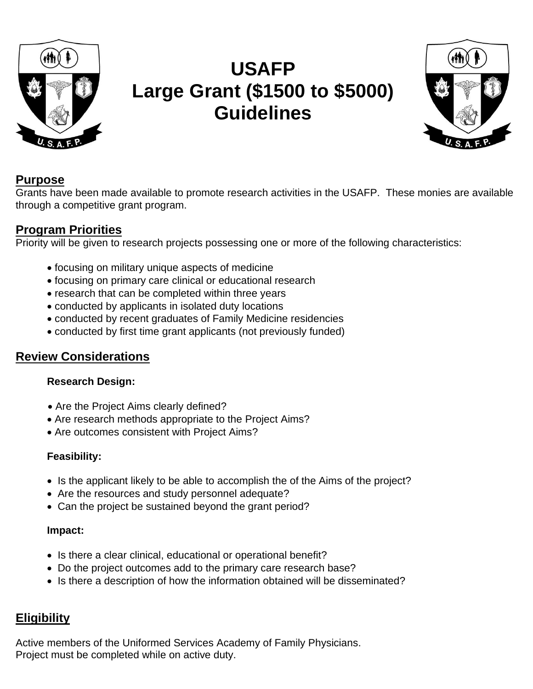

# **USAFP Large Grant (\$1500 to \$5000) Guidelines**



# **Purpose**

Grants have been made available to promote research activities in the USAFP. These monies are available through a competitive grant program.

## **Program Priorities**

Priority will be given to research projects possessing one or more of the following characteristics:

- focusing on military unique aspects of medicine
- focusing on primary care clinical or educational research
- research that can be completed within three years
- conducted by applicants in isolated duty locations
- conducted by recent graduates of Family Medicine residencies
- conducted by first time grant applicants (not previously funded)

## **Review Considerations**

### **Research Design:**

- Are the Project Aims clearly defined?
- Are research methods appropriate to the Project Aims?
- Are outcomes consistent with Project Aims?

## **Feasibility:**

- Is the applicant likely to be able to accomplish the of the Aims of the project?
- Are the resources and study personnel adequate?
- Can the project be sustained beyond the grant period?

### **Impact:**

- Is there a clear clinical, educational or operational benefit?
- Do the project outcomes add to the primary care research base?
- Is there a description of how the information obtained will be disseminated?

# **Eligibility**

Active members of the Uniformed Services Academy of Family Physicians. Project must be completed while on active duty.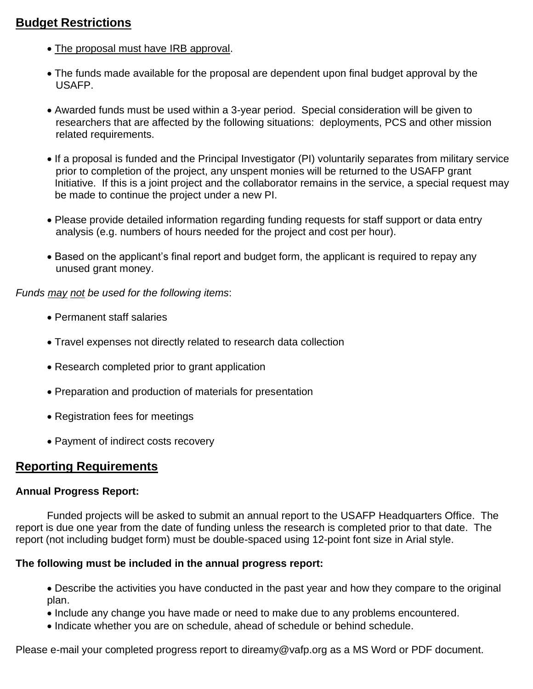# **Budget Restrictions**

- The proposal must have IRB approval.
- The funds made available for the proposal are dependent upon final budget approval by the USAFP.
- Awarded funds must be used within a 3-year period. Special consideration will be given to researchers that are affected by the following situations: deployments, PCS and other mission related requirements.
- If a proposal is funded and the Principal Investigator (PI) voluntarily separates from military service prior to completion of the project, any unspent monies will be returned to the USAFP grant Initiative. If this is a joint project and the collaborator remains in the service, a special request may be made to continue the project under a new PI.
- Please provide detailed information regarding funding requests for staff support or data entry analysis (e.g. numbers of hours needed for the project and cost per hour).
- Based on the applicant's final report and budget form, the applicant is required to repay any unused grant money.

*Funds may not be used for the following items*:

- Permanent staff salaries
- Travel expenses not directly related to research data collection
- Research completed prior to grant application
- Preparation and production of materials for presentation
- Registration fees for meetings
- Payment of indirect costs recovery

## **Reporting Requirements**

#### **Annual Progress Report:**

Funded projects will be asked to submit an annual report to the USAFP Headquarters Office. The report is due one year from the date of funding unless the research is completed prior to that date. The report (not including budget form) must be double-spaced using 12-point font size in Arial style.

#### **The following must be included in the annual progress report:**

• Describe the activities you have conducted in the past year and how they compare to the original plan.

- Include any change you have made or need to make due to any problems encountered.
- Indicate whether you are on schedule, ahead of schedule or behind schedule.

Please e-mail your completed progress report to direamy@vafp.org as a MS Word or PDF document.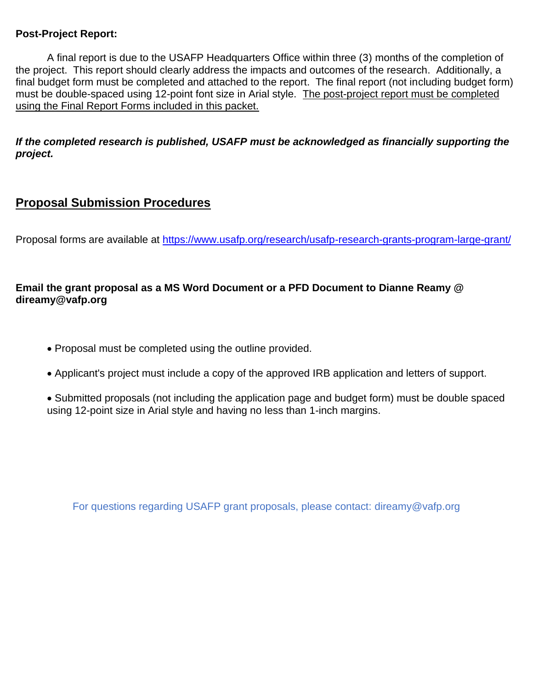#### **Post-Project Report:**

A final report is due to the USAFP Headquarters Office within three (3) months of the completion of the project. This report should clearly address the impacts and outcomes of the research. Additionally, a final budget form must be completed and attached to the report. The final report (not including budget form) must be double-spaced using 12-point font size in Arial style. The post-project report must be completed using the Final Report Forms included in this packet.

*If the completed research is published, USAFP must be acknowledged as financially supporting the project.*

# **Proposal Submission Procedures**

Proposal forms are available at <https://www.usafp.org/research/usafp-research-grants-program-large-grant/>

### **Email the grant proposal as a MS Word Document or a PFD Document to Dianne Reamy @ direamy@vafp.org**

- Proposal must be completed using the outline provided.
- Applicant's project must include a copy of the approved IRB application and letters of support.
- Submitted proposals (not including the application page and budget form) must be double spaced using 12-point size in Arial style and having no less than 1-inch margins.

For questions regarding USAFP grant proposals, please contact: direamy@vafp.org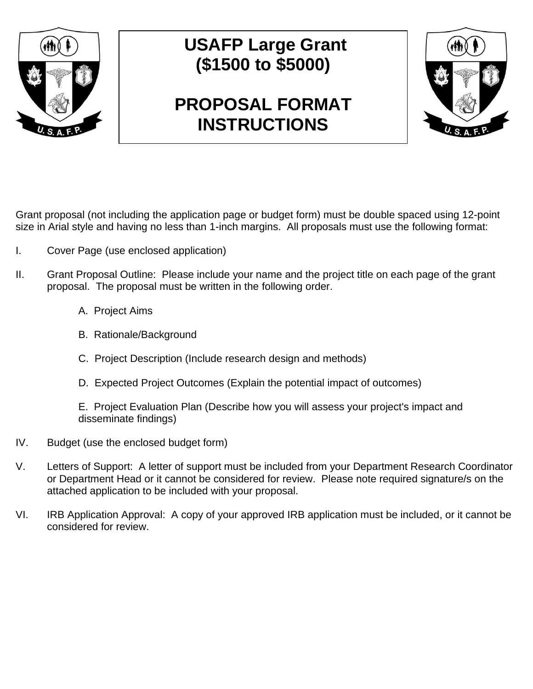

# **USAFP Large Grant (\$1500 to \$5000)**

# **PROPOSAL FORMAT INSTRUCTIONS**



Grant proposal (not including the application page or budget form) must be double spaced using 12-point size in Arial style and having no less than 1-inch margins. All proposals must use the following format:

- I. Cover Page (use enclosed application)
- II. Grant Proposal Outline: Please include your name and the project title on each page of the grant proposal. The proposal must be written in the following order.
	- A. Project Aims
	- B. Rationale/Background
	- C. Project Description (Include research design and methods)
	- D. Expected Project Outcomes (Explain the potential impact of outcomes)

E. Project Evaluation Plan (Describe how you will assess your project's impact and disseminate findings)

- IV. Budget (use the enclosed budget form)
- V. Letters of Support: A letter of support must be included from your Department Research Coordinator or Department Head or it cannot be considered for review. Please note required signature/s on the attached application to be included with your proposal.
- VI. IRB Application Approval: A copy of your approved IRB application must be included, or it cannot be considered for review.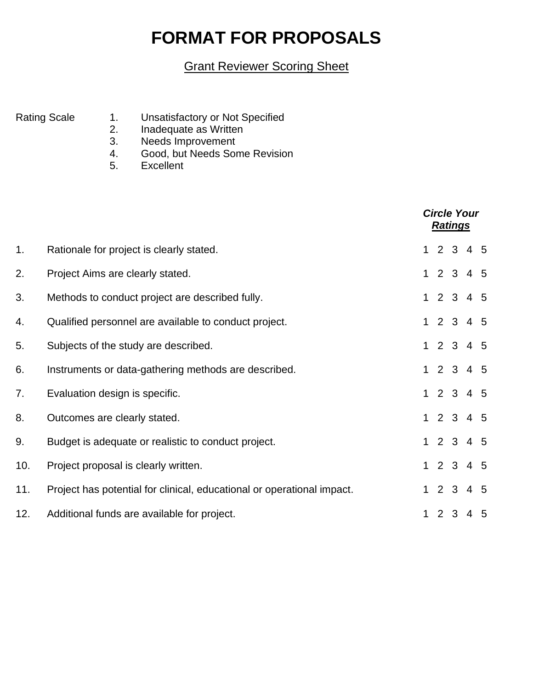# **FORMAT FOR PROPOSALS**

# Grant Reviewer Scoring Sheet

- Rating Scale 1. Unsatisfactory or Not Specified
	- 2. Inadequate as Written
	- 3. Needs Improvement
	- 4. Good, but Needs Some Revision
	- 5. Excellent

|     |                                                                        |  | <b>Circle Your</b><br><b>Ratings</b> |  |           |  |  |
|-----|------------------------------------------------------------------------|--|--------------------------------------|--|-----------|--|--|
| 1.  | Rationale for project is clearly stated.                               |  |                                      |  | 12345     |  |  |
| 2.  | Project Aims are clearly stated.                                       |  |                                      |  | 1 2 3 4 5 |  |  |
| 3.  | Methods to conduct project are described fully.                        |  |                                      |  | 12345     |  |  |
| 4.  | Qualified personnel are available to conduct project.                  |  |                                      |  | 1 2 3 4 5 |  |  |
| 5.  | Subjects of the study are described.                                   |  |                                      |  | 12345     |  |  |
| 6.  | Instruments or data-gathering methods are described.                   |  |                                      |  | 1 2 3 4 5 |  |  |
| 7.  | Evaluation design is specific.                                         |  |                                      |  | 12345     |  |  |
| 8.  | Outcomes are clearly stated.                                           |  |                                      |  | 12345     |  |  |
| 9.  | Budget is adequate or realistic to conduct project.                    |  |                                      |  | 1 2 3 4 5 |  |  |
| 10. | Project proposal is clearly written.                                   |  |                                      |  | 1 2 3 4 5 |  |  |
| 11. | Project has potential for clinical, educational or operational impact. |  |                                      |  | 12345     |  |  |
| 12. | Additional funds are available for project.                            |  |                                      |  | 1 2 3 4 5 |  |  |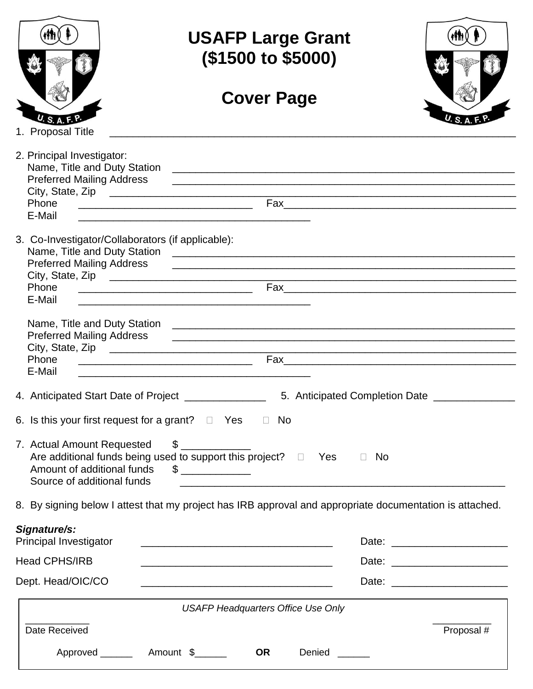|                                                                                        | <b>USAFP Large Grant</b><br>(\$1500 to \$5000)                                                                        |                                         |  |  |  |  |  |
|----------------------------------------------------------------------------------------|-----------------------------------------------------------------------------------------------------------------------|-----------------------------------------|--|--|--|--|--|
|                                                                                        | <b>Cover Page</b>                                                                                                     |                                         |  |  |  |  |  |
| 1. Proposal Title                                                                      |                                                                                                                       |                                         |  |  |  |  |  |
| 2. Principal Investigator:<br><b>Preferred Mailing Address</b>                         |                                                                                                                       |                                         |  |  |  |  |  |
| Phone<br>E-Mail                                                                        |                                                                                                                       |                                         |  |  |  |  |  |
| 3. Co-Investigator/Collaborators (if applicable):                                      | Preferred Mailing Address [1982] [2002] [2003] [2013] [2014] [2014] [2014] [2014] [2014] [2014] [2014] [2014] [       |                                         |  |  |  |  |  |
| Phone<br>E-Mail                                                                        | <u> 1989 - Johann Stoff, amerikansk politiker (d. 1989)</u>                                                           |                                         |  |  |  |  |  |
| <b>Preferred Mailing Address</b><br>Phone<br>E-Mail                                    | <u> 1989 - Johann Stoff, amerikansk politiker (d. 1989)</u>                                                           |                                         |  |  |  |  |  |
| 4. Anticipated Start Date of Project _______________                                   |                                                                                                                       | 5. Anticipated Completion Date ________ |  |  |  |  |  |
| 6. Is this your first request for a grant? $\Box$ Yes $\Box$ No                        |                                                                                                                       |                                         |  |  |  |  |  |
| 7. Actual Amount Requested<br>Amount of additional funds<br>Source of additional funds | $\frac{1}{\sqrt{2}}$<br>Are additional funds being used to support this project? $\Box$ Yes                           | $\Box$ No                               |  |  |  |  |  |
|                                                                                        | 8. By signing below I attest that my project has IRB approval and appropriate documentation is attached.              |                                         |  |  |  |  |  |
| Signature/s:<br>Principal Investigator                                                 | <u> 1980 - Johann John Stein, mars an deus Amerikaansk kommunister (* 1950)</u>                                       |                                         |  |  |  |  |  |
| <b>Head CPHS/IRB</b>                                                                   | <u> 1989 - Johann Stoff, deutscher Stoff, der Stoff, der Stoff, der Stoff, der Stoff, der Stoff, der Stoff, der S</u> |                                         |  |  |  |  |  |
| Dept. Head/OIC/CO                                                                      | <u> 1989 - Johann Stein, marwolaethau a bhann an t-Amhain an t-Amhain an t-Amhain an t-Amhain an t-Amhain an t-A</u>  |                                         |  |  |  |  |  |
| <b>USAFP Headquarters Office Use Only</b>                                              |                                                                                                                       |                                         |  |  |  |  |  |
| Date Received                                                                          |                                                                                                                       | Proposal #                              |  |  |  |  |  |
|                                                                                        | <b>OR</b><br>Denied                                                                                                   |                                         |  |  |  |  |  |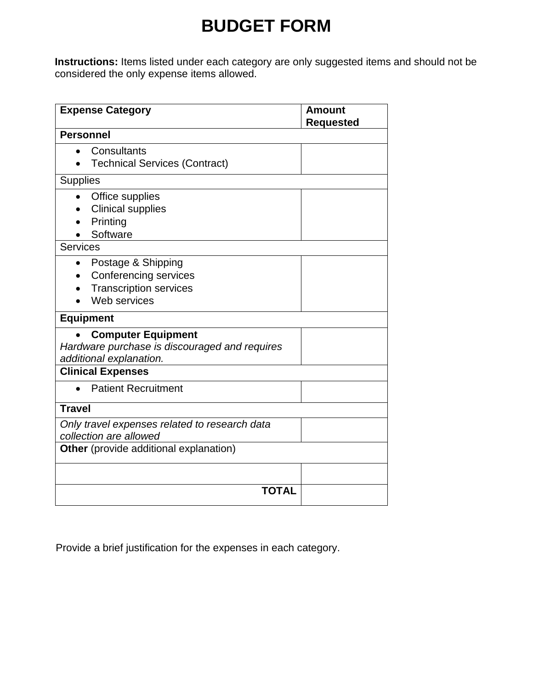# **BUDGET FORM**

**Instructions:** Items listed under each category are only suggested items and should not be considered the only expense items allowed.

| <b>Expense Category</b>                       | <b>Amount</b><br><b>Requested</b> |  |  |
|-----------------------------------------------|-----------------------------------|--|--|
| <b>Personnel</b>                              |                                   |  |  |
| Consultants                                   |                                   |  |  |
| <b>Technical Services (Contract)</b>          |                                   |  |  |
| <b>Supplies</b>                               |                                   |  |  |
| Office supplies                               |                                   |  |  |
| <b>Clinical supplies</b>                      |                                   |  |  |
| Printing                                      |                                   |  |  |
| Software                                      |                                   |  |  |
| Services                                      |                                   |  |  |
| Postage & Shipping<br>$\bullet$               |                                   |  |  |
| <b>Conferencing services</b>                  |                                   |  |  |
| <b>Transcription services</b>                 |                                   |  |  |
| Web services                                  |                                   |  |  |
| <b>Equipment</b>                              |                                   |  |  |
| <b>Computer Equipment</b>                     |                                   |  |  |
| Hardware purchase is discouraged and requires |                                   |  |  |
| additional explanation.                       |                                   |  |  |
| <b>Clinical Expenses</b>                      |                                   |  |  |
| <b>Patient Recruitment</b>                    |                                   |  |  |
| <b>Travel</b>                                 |                                   |  |  |
| Only travel expenses related to research data |                                   |  |  |
| collection are allowed                        |                                   |  |  |
| <b>Other</b> (provide additional explanation) |                                   |  |  |
|                                               |                                   |  |  |
| <b>TOTAL</b>                                  |                                   |  |  |

Provide a brief justification for the expenses in each category.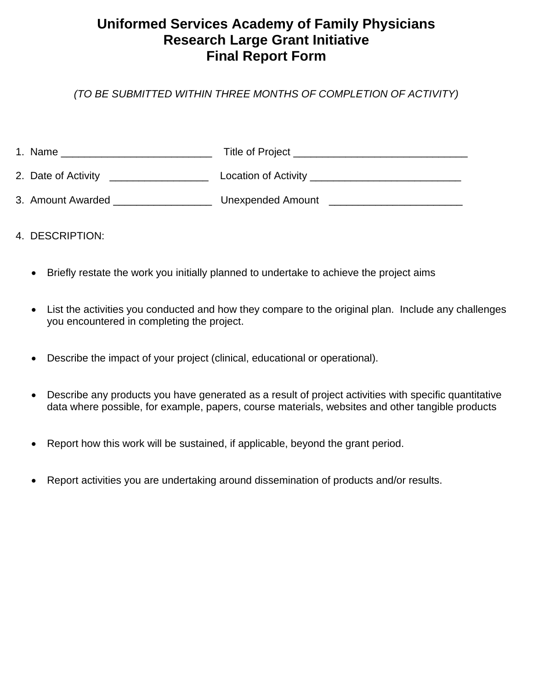# **Uniformed Services Academy of Family Physicians Research Large Grant Initiative Final Report Form**

*(TO BE SUBMITTED WITHIN THREE MONTHS OF COMPLETION OF ACTIVITY)*

| 1. Name             | <b>Title of Project</b>  |
|---------------------|--------------------------|
| 2. Date of Activity | Location of Activity     |
| 3. Amount Awarded   | <b>Unexpended Amount</b> |

- 4. DESCRIPTION:
	- Briefly restate the work you initially planned to undertake to achieve the project aims
	- List the activities you conducted and how they compare to the original plan. Include any challenges you encountered in completing the project.
	- Describe the impact of your project (clinical, educational or operational).
	- Describe any products you have generated as a result of project activities with specific quantitative data where possible, for example, papers, course materials, websites and other tangible products
	- Report how this work will be sustained, if applicable, beyond the grant period.
	- Report activities you are undertaking around dissemination of products and/or results.